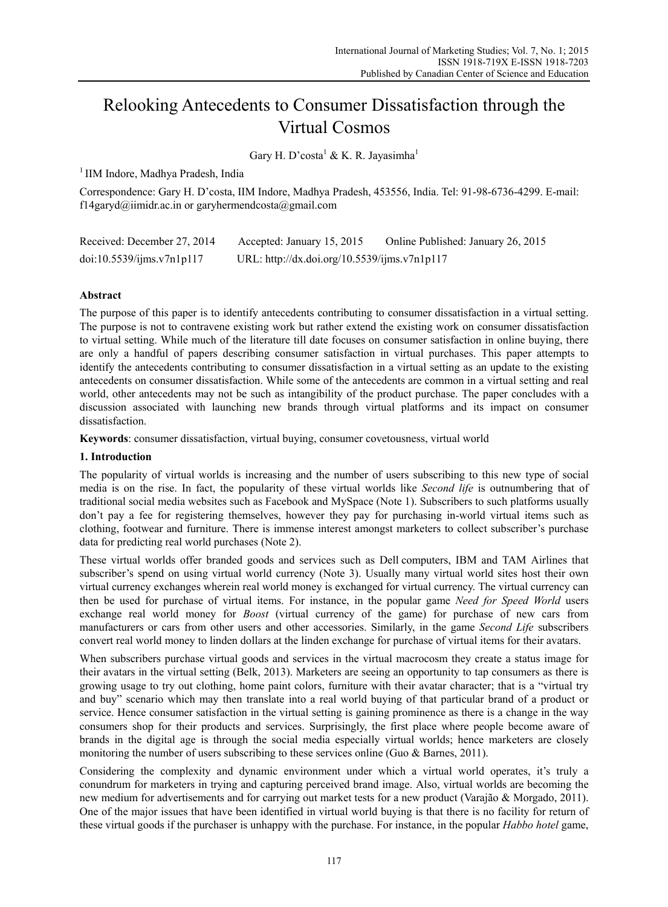# Relooking Antecedents to Consumer Dissatisfaction through the Virtual Cosmos

Gary H. D' $\text{costa}^1 \& K$ . R. Jayasimha $^1$ 

<sup>1</sup> IIM Indore, Madhya Pradesh, India

Correspondence: Gary H. D'costa, IIM Indore, Madhya Pradesh, 453556, India. Tel: 91-98-6736-4299. E-mail: f14garyd@iimidr.ac.in or garyhermendcosta@gmail.com

| Received: December 27, 2014 | Accepted: January 15, 2015                   | Online Published: January 26, 2015 |
|-----------------------------|----------------------------------------------|------------------------------------|
| doi:10.5539/jms.v7n1p117    | URL: http://dx.doi.org/10.5539/ijms.v7n1p117 |                                    |

# **Abstract**

The purpose of this paper is to identify antecedents contributing to consumer dissatisfaction in a virtual setting. The purpose is not to contravene existing work but rather extend the existing work on consumer dissatisfaction to virtual setting. While much of the literature till date focuses on consumer satisfaction in online buying, there are only a handful of papers describing consumer satisfaction in virtual purchases. This paper attempts to identify the antecedents contributing to consumer dissatisfaction in a virtual setting as an update to the existing antecedents on consumer dissatisfaction. While some of the antecedents are common in a virtual setting and real world, other antecedents may not be such as intangibility of the product purchase. The paper concludes with a discussion associated with launching new brands through virtual platforms and its impact on consumer dissatisfaction.

**Keywords**: consumer dissatisfaction, virtual buying, consumer covetousness, virtual world

# **1. Introduction**

The popularity of virtual worlds is increasing and the number of users subscribing to this new type of social media is on the rise. In fact, the popularity of these virtual worlds like *Second life* is outnumbering that of traditional social media websites such as Facebook and MySpace (Note 1). Subscribers to such platforms usually don't pay a fee for registering themselves, however they pay for purchasing in-world virtual items such as clothing, footwear and furniture. There is immense interest amongst marketers to collect subscriber's purchase data for predicting real world purchases (Note 2).

These virtual worlds offer branded goods and services such as Dell computers, IBM and TAM Airlines that subscriber's spend on using virtual world currency (Note 3). Usually many virtual world sites host their own virtual currency exchanges wherein real world money is exchanged for virtual currency. The virtual currency can then be used for purchase of virtual items. For instance, in the popular game *Need for Speed World* users exchange real world money for *Boost* (virtual currency of the game) for purchase of new cars from manufacturers or cars from other users and other accessories. Similarly, in the game *Second Life* subscribers convert real world money to linden dollars at the linden exchange for purchase of virtual items for their avatars.

When subscribers purchase virtual goods and services in the virtual macrocosm they create a status image for their avatars in the virtual setting (Belk, 2013). Marketers are seeing an opportunity to tap consumers as there is growing usage to try out clothing, home paint colors, furniture with their avatar character; that is a "virtual try and buy" scenario which may then translate into a real world buying of that particular brand of a product or service. Hence consumer satisfaction in the virtual setting is gaining prominence as there is a change in the way consumers shop for their products and services. Surprisingly, the first place where people become aware of brands in the digital age is through the social media especially virtual worlds; hence marketers are closely monitoring the number of users subscribing to these services online (Guo & Barnes, 2011).

Considering the complexity and dynamic environment under which a virtual world operates, it's truly a conundrum for marketers in trying and capturing perceived brand image. Also, virtual worlds are becoming the new medium for advertisements and for carrying out market tests for a new product (Varajão & Morgado, 2011). One of the major issues that have been identified in virtual world buying is that there is no facility for return of these virtual goods if the purchaser is unhappy with the purchase. For instance, in the popular *Habbo hotel* game,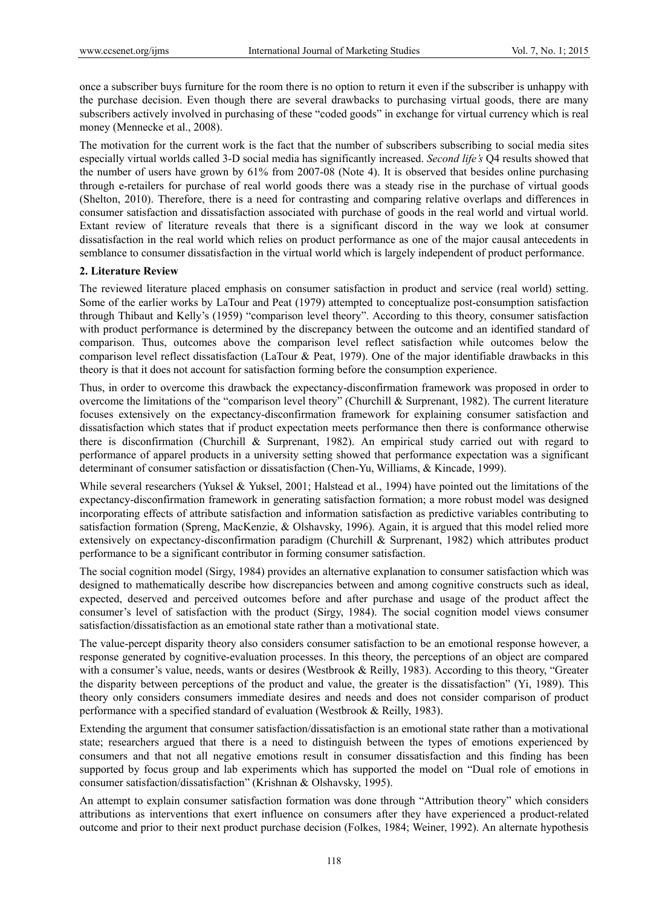once a subscriber buys furniture for the room there is no option to return it even if the subscriber is unhappy with the purchase decision. Even though there are several drawbacks to purchasing virtual goods, there are many subscribers actively involved in purchasing of these "coded goods" in exchange for virtual currency which is real money (Mennecke et al., 2008).

The motivation for the current work is the fact that the number of subscribers subscribing to social media sites especially virtual worlds called 3-D social media has significantly increased. *Second life's* Q4 results showed that the number of users have grown by 61% from 2007-08 (Note 4). It is observed that besides online purchasing through e-retailers for purchase of real world goods there was a steady rise in the purchase of virtual goods (Shelton, 2010). Therefore, there is a need for contrasting and comparing relative overlaps and differences in consumer satisfaction and dissatisfaction associated with purchase of goods in the real world and virtual world. Extant review of literature reveals that there is a significant discord in the way we look at consumer dissatisfaction in the real world which relies on product performance as one of the major causal antecedents in semblance to consumer dissatisfaction in the virtual world which is largely independent of product performance.

## **2. Literature Review**

The reviewed literature placed emphasis on consumer satisfaction in product and service (real world) setting. Some of the earlier works by LaTour and Peat (1979) attempted to conceptualize post-consumption satisfaction through Thibaut and Kelly's (1959) "comparison level theory". According to this theory, consumer satisfaction with product performance is determined by the discrepancy between the outcome and an identified standard of comparison. Thus, outcomes above the comparison level reflect satisfaction while outcomes below the comparison level reflect dissatisfaction (LaTour & Peat, 1979). One of the major identifiable drawbacks in this theory is that it does not account for satisfaction forming before the consumption experience.

Thus, in order to overcome this drawback the expectancy-disconfirmation framework was proposed in order to overcome the limitations of the "comparison level theory" (Churchill & Surprenant, 1982). The current literature focuses extensively on the expectancy-disconfirmation framework for explaining consumer satisfaction and dissatisfaction which states that if product expectation meets performance then there is conformance otherwise there is disconfirmation (Churchill & Surprenant, 1982). An empirical study carried out with regard to performance of apparel products in a university setting showed that performance expectation was a significant determinant of consumer satisfaction or dissatisfaction (Chen-Yu, Williams, & Kincade, 1999).

While several researchers (Yuksel & Yuksel, 2001; Halstead et al., 1994) have pointed out the limitations of the expectancy-disconfirmation framework in generating satisfaction formation; a more robust model was designed incorporating effects of attribute satisfaction and information satisfaction as predictive variables contributing to satisfaction formation (Spreng, MacKenzie, & Olshavsky, 1996). Again, it is argued that this model relied more extensively on expectancy-disconfirmation paradigm (Churchill & Surprenant, 1982) which attributes product performance to be a significant contributor in forming consumer satisfaction.

The social cognition model (Sirgy, 1984) provides an alternative explanation to consumer satisfaction which was designed to mathematically describe how discrepancies between and among cognitive constructs such as ideal, expected, deserved and perceived outcomes before and after purchase and usage of the product affect the consumer's level of satisfaction with the product (Sirgy, 1984). The social cognition model views consumer satisfaction/dissatisfaction as an emotional state rather than a motivational state.

The value-percept disparity theory also considers consumer satisfaction to be an emotional response however, a response generated by cognitive-evaluation processes. In this theory, the perceptions of an object are compared with a consumer's value, needs, wants or desires (Westbrook & Reilly, 1983). According to this theory, "Greater the disparity between perceptions of the product and value, the greater is the dissatisfaction" (Yi, 1989). This theory only considers consumers immediate desires and needs and does not consider comparison of product performance with a specified standard of evaluation (Westbrook & Reilly, 1983).

Extending the argument that consumer satisfaction/dissatisfaction is an emotional state rather than a motivational state; researchers argued that there is a need to distinguish between the types of emotions experienced by consumers and that not all negative emotions result in consumer dissatisfaction and this finding has been supported by focus group and lab experiments which has supported the model on "Dual role of emotions in consumer satisfaction/dissatisfaction" (Krishnan & Olshavsky, 1995).

An attempt to explain consumer satisfaction formation was done through "Attribution theory" which considers attributions as interventions that exert influence on consumers after they have experienced a product-related outcome and prior to their next product purchase decision (Folkes, 1984; Weiner, 1992). An alternate hypothesis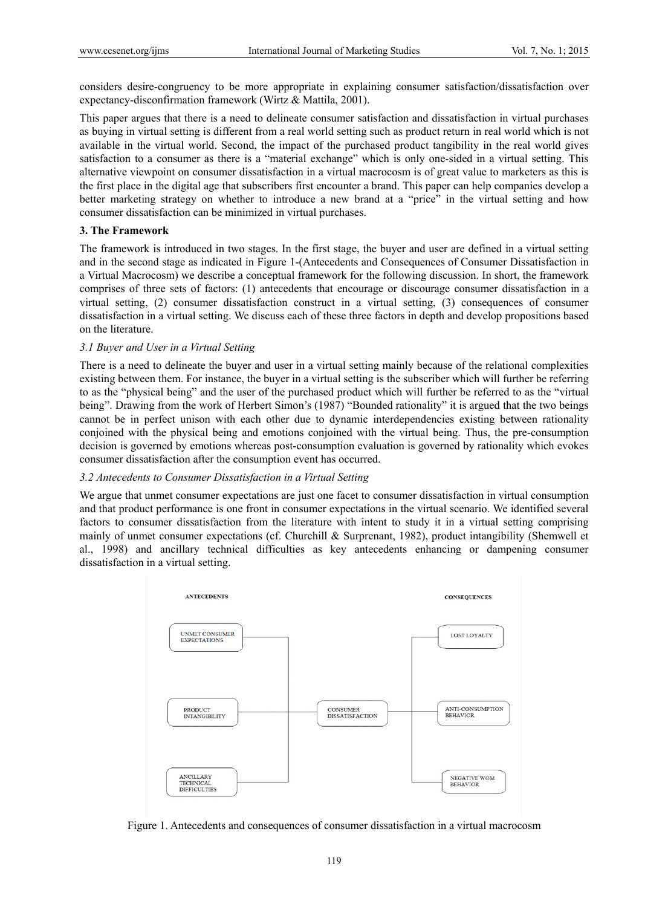considers desire-congruency to be more appropriate in explaining consumer satisfaction/dissatisfaction over expectancy-disconfirmation framework (Wirtz & Mattila, 2001).

This paper argues that there is a need to delineate consumer satisfaction and dissatisfaction in virtual purchases as buying in virtual setting is different from a real world setting such as product return in real world which is not available in the virtual world. Second, the impact of the purchased product tangibility in the real world gives satisfaction to a consumer as there is a "material exchange" which is only one-sided in a virtual setting. This alternative viewpoint on consumer dissatisfaction in a virtual macrocosm is of great value to marketers as this is the first place in the digital age that subscribers first encounter a brand. This paper can help companies develop a better marketing strategy on whether to introduce a new brand at a "price" in the virtual setting and how consumer dissatisfaction can be minimized in virtual purchases.

### **3. The Framework**

The framework is introduced in two stages. In the first stage, the buyer and user are defined in a virtual setting and in the second stage as indicated in Figure 1-(Antecedents and Consequences of Consumer Dissatisfaction in a Virtual Macrocosm) we describe a conceptual framework for the following discussion. In short, the framework comprises of three sets of factors: (1) antecedents that encourage or discourage consumer dissatisfaction in a virtual setting, (2) consumer dissatisfaction construct in a virtual setting, (3) consequences of consumer dissatisfaction in a virtual setting. We discuss each of these three factors in depth and develop propositions based on the literature.

### *3.1 Buyer and User in a Virtual Setting*

There is a need to delineate the buyer and user in a virtual setting mainly because of the relational complexities existing between them. For instance, the buyer in a virtual setting is the subscriber which will further be referring to as the "physical being" and the user of the purchased product which will further be referred to as the "virtual being". Drawing from the work of Herbert Simon's (1987) "Bounded rationality" it is argued that the two beings cannot be in perfect unison with each other due to dynamic interdependencies existing between rationality conjoined with the physical being and emotions conjoined with the virtual being. Thus, the pre-consumption decision is governed by emotions whereas post-consumption evaluation is governed by rationality which evokes consumer dissatisfaction after the consumption event has occurred.

#### *3.2 Antecedents to Consumer Dissatisfaction in a Virtual Setting*

We argue that unmet consumer expectations are just one facet to consumer dissatisfaction in virtual consumption and that product performance is one front in consumer expectations in the virtual scenario. We identified several factors to consumer dissatisfaction from the literature with intent to study it in a virtual setting comprising mainly of unmet consumer expectations (cf. Churchill & Surprenant, 1982), product intangibility (Shemwell et al., 1998) and ancillary technical difficulties as key antecedents enhancing or dampening consumer dissatisfaction in a virtual setting.



Figure 1. Antecedents and consequences of consumer dissatisfaction in a virtual macrocosm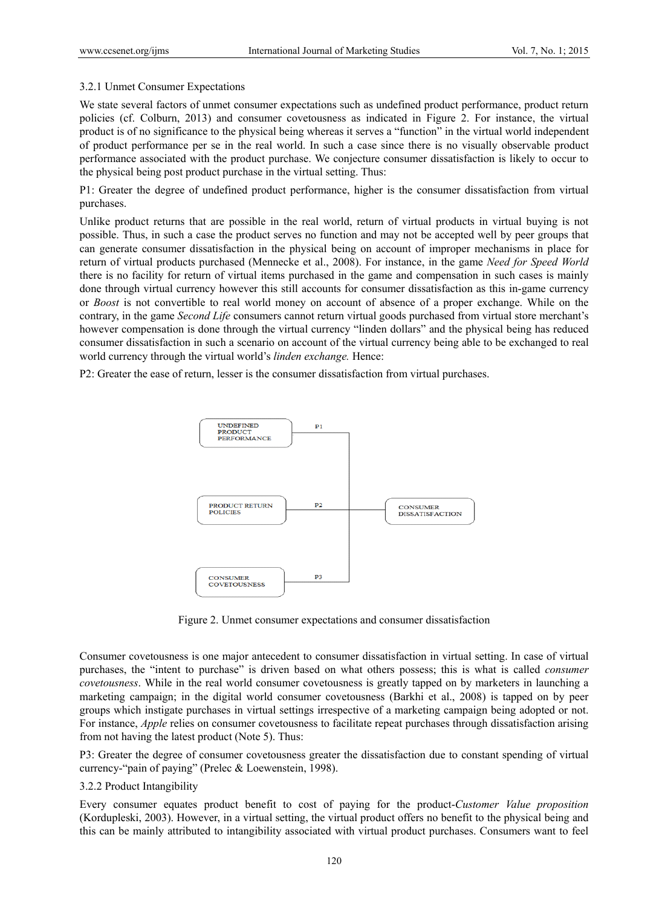## 3.2.1 Unmet Consumer Expectations

We state several factors of unmet consumer expectations such as undefined product performance, product return policies (cf. Colburn, 2013) and consumer covetousness as indicated in Figure 2. For instance, the virtual product is of no significance to the physical being whereas it serves a "function" in the virtual world independent of product performance per se in the real world. In such a case since there is no visually observable product performance associated with the product purchase. We conjecture consumer dissatisfaction is likely to occur to the physical being post product purchase in the virtual setting. Thus:

P1: Greater the degree of undefined product performance, higher is the consumer dissatisfaction from virtual purchases.

Unlike product returns that are possible in the real world, return of virtual products in virtual buying is not possible. Thus, in such a case the product serves no function and may not be accepted well by peer groups that can generate consumer dissatisfaction in the physical being on account of improper mechanisms in place for return of virtual products purchased (Mennecke et al., 2008). For instance, in the game *Need for Speed World* there is no facility for return of virtual items purchased in the game and compensation in such cases is mainly done through virtual currency however this still accounts for consumer dissatisfaction as this in-game currency or *Boost* is not convertible to real world money on account of absence of a proper exchange. While on the contrary, in the game *Second Life* consumers cannot return virtual goods purchased from virtual store merchant's however compensation is done through the virtual currency "linden dollars" and the physical being has reduced consumer dissatisfaction in such a scenario on account of the virtual currency being able to be exchanged to real world currency through the virtual world's *linden exchange.* Hence:

P2: Greater the ease of return, lesser is the consumer dissatisfaction from virtual purchases.



Figure 2. Unmet consumer expectations and consumer dissatisfaction

Consumer covetousness is one major antecedent to consumer dissatisfaction in virtual setting. In case of virtual purchases, the "intent to purchase" is driven based on what others possess; this is what is called *consumer covetousness*. While in the real world consumer covetousness is greatly tapped on by marketers in launching a marketing campaign; in the digital world consumer covetousness (Barkhi et al., 2008) is tapped on by peer groups which instigate purchases in virtual settings irrespective of a marketing campaign being adopted or not. For instance, *Apple* relies on consumer covetousness to facilitate repeat purchases through dissatisfaction arising from not having the latest product (Note 5). Thus:

P3: Greater the degree of consumer covetousness greater the dissatisfaction due to constant spending of virtual currency-"pain of paying" (Prelec & Loewenstein, 1998).

## 3.2.2 Product Intangibility

Every consumer equates product benefit to cost of paying for the product-*Customer Value proposition*  (Kordupleski, 2003). However, in a virtual setting, the virtual product offers no benefit to the physical being and this can be mainly attributed to intangibility associated with virtual product purchases. Consumers want to feel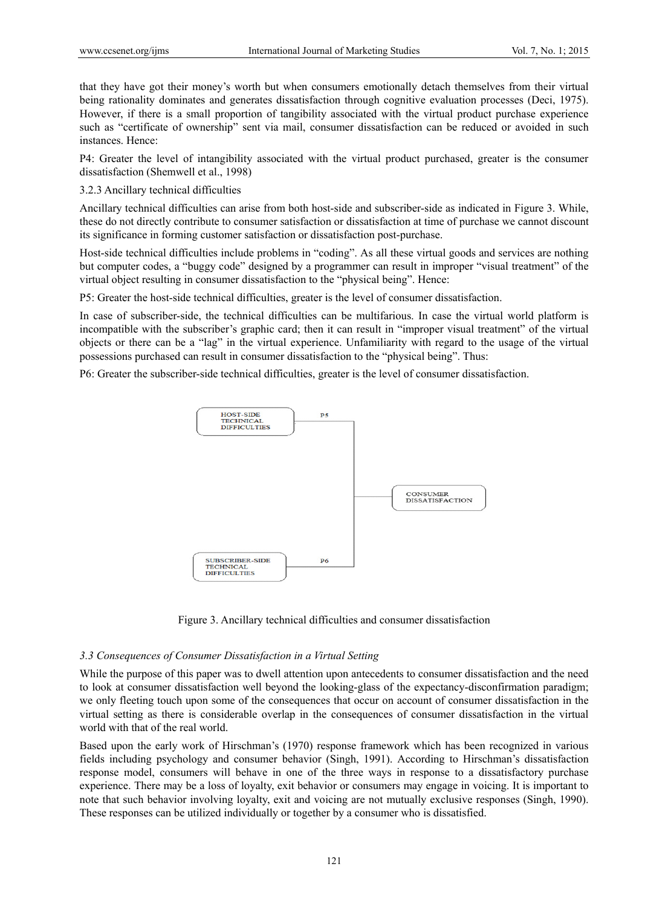that they have got their money's worth but when consumers emotionally detach themselves from their virtual being rationality dominates and generates dissatisfaction through cognitive evaluation processes (Deci, 1975). However, if there is a small proportion of tangibility associated with the virtual product purchase experience such as "certificate of ownership" sent via mail, consumer dissatisfaction can be reduced or avoided in such instances. Hence:

P4: Greater the level of intangibility associated with the virtual product purchased, greater is the consumer dissatisfaction (Shemwell et al., 1998)

3.2.3 Ancillary technical difficulties

Ancillary technical difficulties can arise from both host-side and subscriber-side as indicated in Figure 3. While, these do not directly contribute to consumer satisfaction or dissatisfaction at time of purchase we cannot discount its significance in forming customer satisfaction or dissatisfaction post-purchase.

Host-side technical difficulties include problems in "coding". As all these virtual goods and services are nothing but computer codes, a "buggy code" designed by a programmer can result in improper "visual treatment" of the virtual object resulting in consumer dissatisfaction to the "physical being". Hence:

P5: Greater the host-side technical difficulties, greater is the level of consumer dissatisfaction.

In case of subscriber-side, the technical difficulties can be multifarious. In case the virtual world platform is incompatible with the subscriber's graphic card; then it can result in "improper visual treatment" of the virtual objects or there can be a "lag" in the virtual experience. Unfamiliarity with regard to the usage of the virtual possessions purchased can result in consumer dissatisfaction to the "physical being". Thus:

P6: Greater the subscriber-side technical difficulties, greater is the level of consumer dissatisfaction.



Figure 3. Ancillary technical difficulties and consumer dissatisfaction

#### *3.3 Consequences of Consumer Dissatisfaction in a Virtual Setting*

While the purpose of this paper was to dwell attention upon antecedents to consumer dissatisfaction and the need to look at consumer dissatisfaction well beyond the looking-glass of the expectancy-disconfirmation paradigm; we only fleeting touch upon some of the consequences that occur on account of consumer dissatisfaction in the virtual setting as there is considerable overlap in the consequences of consumer dissatisfaction in the virtual world with that of the real world.

Based upon the early work of Hirschman's (1970) response framework which has been recognized in various fields including psychology and consumer behavior (Singh, 1991). According to Hirschman's dissatisfaction response model, consumers will behave in one of the three ways in response to a dissatisfactory purchase experience. There may be a loss of loyalty, exit behavior or consumers may engage in voicing. It is important to note that such behavior involving loyalty, exit and voicing are not mutually exclusive responses (Singh, 1990). These responses can be utilized individually or together by a consumer who is dissatisfied.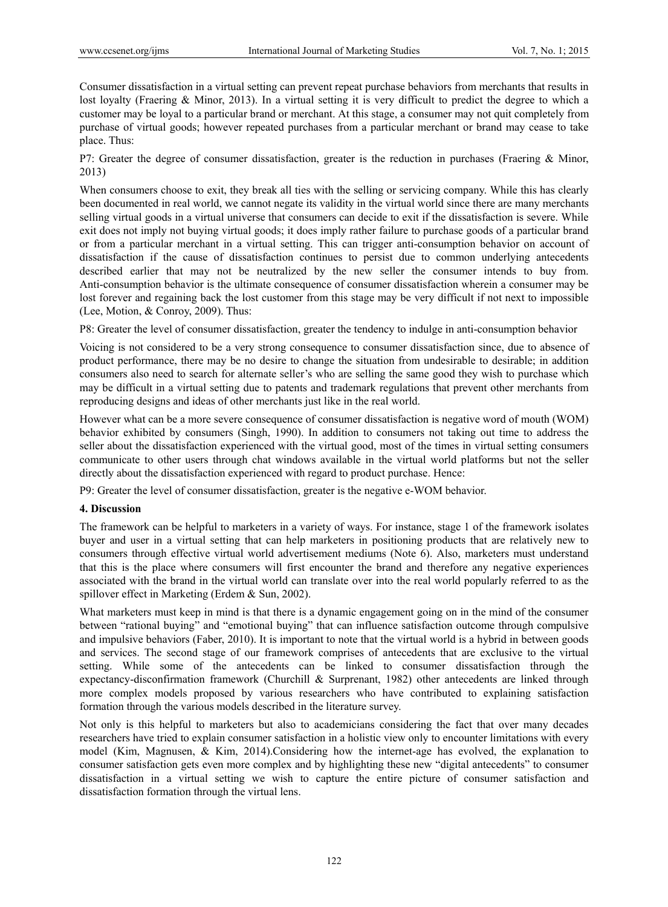Consumer dissatisfaction in a virtual setting can prevent repeat purchase behaviors from merchants that results in lost loyalty (Fraering & Minor, 2013). In a virtual setting it is very difficult to predict the degree to which a customer may be loyal to a particular brand or merchant. At this stage, a consumer may not quit completely from purchase of virtual goods; however repeated purchases from a particular merchant or brand may cease to take place. Thus:

P7: Greater the degree of consumer dissatisfaction, greater is the reduction in purchases (Fraering & Minor, 2013)

When consumers choose to exit, they break all ties with the selling or servicing company. While this has clearly been documented in real world, we cannot negate its validity in the virtual world since there are many merchants selling virtual goods in a virtual universe that consumers can decide to exit if the dissatisfaction is severe. While exit does not imply not buying virtual goods; it does imply rather failure to purchase goods of a particular brand or from a particular merchant in a virtual setting. This can trigger anti-consumption behavior on account of dissatisfaction if the cause of dissatisfaction continues to persist due to common underlying antecedents described earlier that may not be neutralized by the new seller the consumer intends to buy from. Anti-consumption behavior is the ultimate consequence of consumer dissatisfaction wherein a consumer may be lost forever and regaining back the lost customer from this stage may be very difficult if not next to impossible (Lee, Motion, & Conroy, 2009). Thus:

P8: Greater the level of consumer dissatisfaction, greater the tendency to indulge in anti-consumption behavior

Voicing is not considered to be a very strong consequence to consumer dissatisfaction since, due to absence of product performance, there may be no desire to change the situation from undesirable to desirable; in addition consumers also need to search for alternate seller's who are selling the same good they wish to purchase which may be difficult in a virtual setting due to patents and trademark regulations that prevent other merchants from reproducing designs and ideas of other merchants just like in the real world.

However what can be a more severe consequence of consumer dissatisfaction is negative word of mouth (WOM) behavior exhibited by consumers (Singh, 1990). In addition to consumers not taking out time to address the seller about the dissatisfaction experienced with the virtual good, most of the times in virtual setting consumers communicate to other users through chat windows available in the virtual world platforms but not the seller directly about the dissatisfaction experienced with regard to product purchase. Hence:

P9: Greater the level of consumer dissatisfaction, greater is the negative e-WOM behavior.

## **4. Discussion**

The framework can be helpful to marketers in a variety of ways. For instance, stage 1 of the framework isolates buyer and user in a virtual setting that can help marketers in positioning products that are relatively new to consumers through effective virtual world advertisement mediums (Note 6). Also, marketers must understand that this is the place where consumers will first encounter the brand and therefore any negative experiences associated with the brand in the virtual world can translate over into the real world popularly referred to as the spillover effect in Marketing (Erdem & Sun, 2002).

What marketers must keep in mind is that there is a dynamic engagement going on in the mind of the consumer between "rational buying" and "emotional buying" that can influence satisfaction outcome through compulsive and impulsive behaviors (Faber, 2010). It is important to note that the virtual world is a hybrid in between goods and services. The second stage of our framework comprises of antecedents that are exclusive to the virtual setting. While some of the antecedents can be linked to consumer dissatisfaction through the expectancy-disconfirmation framework (Churchill & Surprenant, 1982) other antecedents are linked through more complex models proposed by various researchers who have contributed to explaining satisfaction formation through the various models described in the literature survey.

Not only is this helpful to marketers but also to academicians considering the fact that over many decades researchers have tried to explain consumer satisfaction in a holistic view only to encounter limitations with every model (Kim, Magnusen, & Kim, 2014).Considering how the internet-age has evolved, the explanation to consumer satisfaction gets even more complex and by highlighting these new "digital antecedents" to consumer dissatisfaction in a virtual setting we wish to capture the entire picture of consumer satisfaction and dissatisfaction formation through the virtual lens.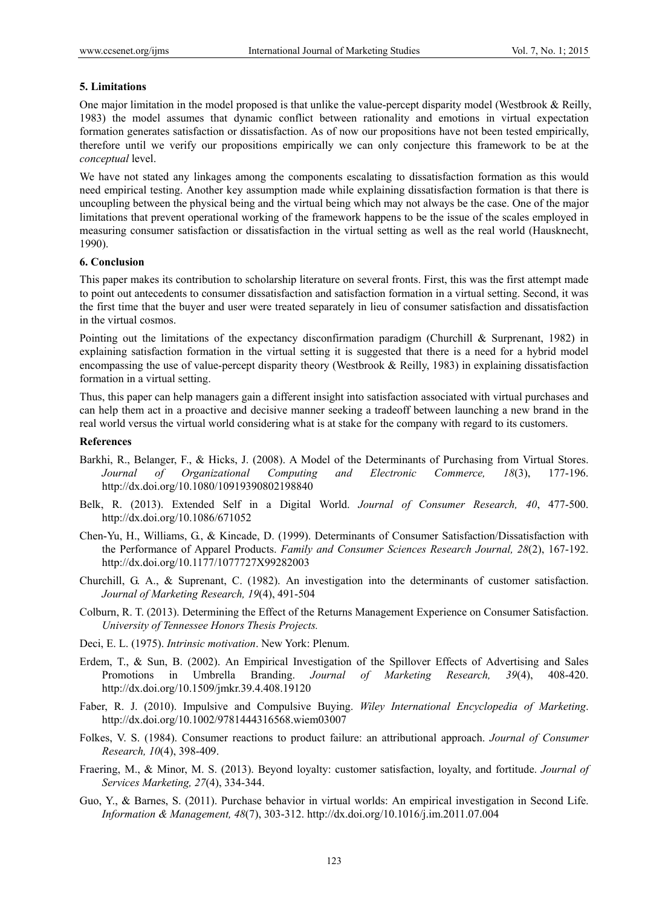#### **5. Limitations**

One major limitation in the model proposed is that unlike the value-percept disparity model (Westbrook  $\&$  Reilly, 1983) the model assumes that dynamic conflict between rationality and emotions in virtual expectation formation generates satisfaction or dissatisfaction. As of now our propositions have not been tested empirically, therefore until we verify our propositions empirically we can only conjecture this framework to be at the *conceptual* level.

We have not stated any linkages among the components escalating to dissatisfaction formation as this would need empirical testing. Another key assumption made while explaining dissatisfaction formation is that there is uncoupling between the physical being and the virtual being which may not always be the case. One of the major limitations that prevent operational working of the framework happens to be the issue of the scales employed in measuring consumer satisfaction or dissatisfaction in the virtual setting as well as the real world (Hausknecht, 1990).

#### **6. Conclusion**

This paper makes its contribution to scholarship literature on several fronts. First, this was the first attempt made to point out antecedents to consumer dissatisfaction and satisfaction formation in a virtual setting. Second, it was the first time that the buyer and user were treated separately in lieu of consumer satisfaction and dissatisfaction in the virtual cosmos.

Pointing out the limitations of the expectancy disconfirmation paradigm (Churchill & Surprenant, 1982) in explaining satisfaction formation in the virtual setting it is suggested that there is a need for a hybrid model encompassing the use of value-percept disparity theory (Westbrook & Reilly, 1983) in explaining dissatisfaction formation in a virtual setting.

Thus, this paper can help managers gain a different insight into satisfaction associated with virtual purchases and can help them act in a proactive and decisive manner seeking a tradeoff between launching a new brand in the real world versus the virtual world considering what is at stake for the company with regard to its customers.

#### **References**

- Barkhi, R., Belanger, F., & Hicks, J. (2008). A Model of the Determinants of Purchasing from Virtual Stores. *Journal of Organizational Computing and Electronic Commerce, 18*(3), 177-196. http://dx.doi.org/10.1080/10919390802198840
- Belk, R. (2013). Extended Self in a Digital World. *Journal of Consumer Research, 40*, 477-500. http://dx.doi.org/10.1086/671052
- Chen-Yu, H., Williams, G., & Kincade, D. (1999). Determinants of Consumer Satisfaction/Dissatisfaction with the Performance of Apparel Products. *Family and Consumer Sciences Research Journal, 28*(2), 167-192. http://dx.doi.org/10.1177/1077727X99282003
- Churchill, G. A., & Suprenant, C. (1982). An investigation into the determinants of customer satisfaction. *Journal of Marketing Research, 19*(4), 491-504
- Colburn, R. T. (2013). Determining the Effect of the Returns Management Experience on Consumer Satisfaction. *University of Tennessee Honors Thesis Projects.*
- Deci, E. L. (1975). *Intrinsic motivation*. New York: Plenum.
- Erdem, T., & Sun, B. (2002). An Empirical Investigation of the Spillover Effects of Advertising and Sales Promotions in Umbrella Branding. *Journal of Marketing Research, 39*(4), 408-420. http://dx.doi.org/10.1509/jmkr.39.4.408.19120
- Faber, R. J. (2010). Impulsive and Compulsive Buying. *Wiley International Encyclopedia of Marketing*. http://dx.doi.org/10.1002/9781444316568.wiem03007
- Folkes, V. S. (1984). Consumer reactions to product failure: an attributional approach. *Journal of Consumer Research, 10*(4), 398-409.
- Fraering, M., & Minor, M. S. (2013). Beyond loyalty: customer satisfaction, loyalty, and fortitude. *Journal of Services Marketing, 27*(4), 334-344.
- Guo, Y., & Barnes, S. (2011). Purchase behavior in virtual worlds: An empirical investigation in Second Life. *Information & Management, 48*(7), 303-312. http://dx.doi.org/10.1016/j.im.2011.07.004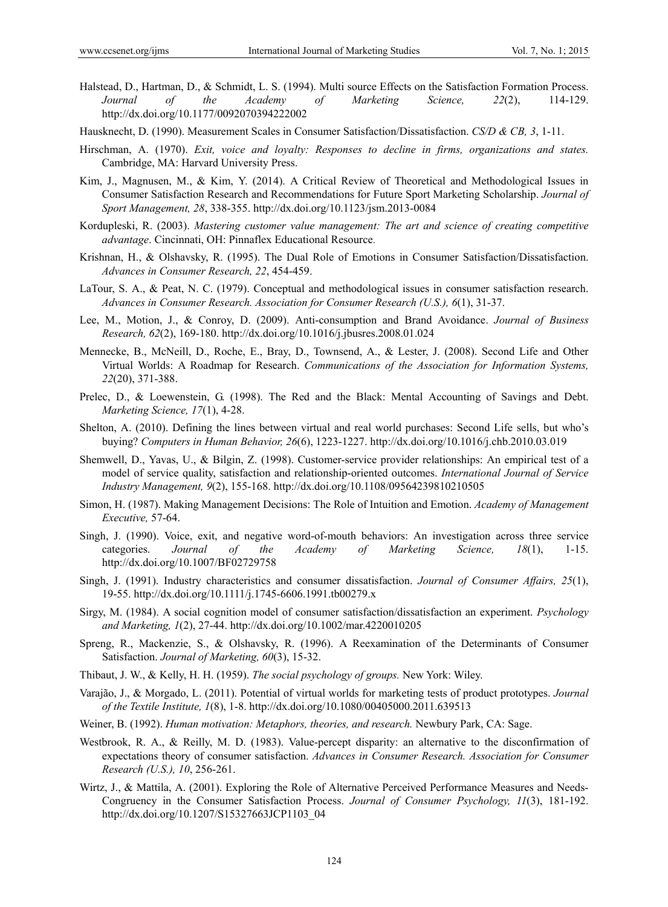- Halstead, D., Hartman, D., & Schmidt, L. S. (1994). Multi source Effects on the Satisfaction Formation Process. *Journal of the Academy of Marketing Science, 22*(2), 114-129. http://dx.doi.org/10.1177/0092070394222002
- Hausknecht, D. (1990). Measurement Scales in Consumer Satisfaction/Dissatisfaction. *CS/D & CB, 3*, 1-11.
- Hirschman, A. (1970). *Exit, voice and loyalty: Responses to decline in firms, organizations and states.*  Cambridge, MA: Harvard University Press.
- Kim, J., Magnusen, M., & Kim, Y. (2014). A Critical Review of Theoretical and Methodological Issues in Consumer Satisfaction Research and Recommendations for Future Sport Marketing Scholarship. *Journal of Sport Management, 28*, 338-355. http://dx.doi.org/10.1123/jsm.2013-0084
- Kordupleski, R. (2003). *Mastering customer value management: The art and science of creating competitive advantage*. Cincinnati, OH: Pinnaflex Educational Resource.
- Krishnan, H., & Olshavsky, R. (1995). The Dual Role of Emotions in Consumer Satisfaction/Dissatisfaction. *Advances in Consumer Research, 22*, 454-459.
- LaTour, S. A., & Peat, N. C. (1979). Conceptual and methodological issues in consumer satisfaction research. *Advances in Consumer Research. Association for Consumer Research (U.S.), 6*(1), 31-37.
- Lee, M., Motion, J., & Conroy, D. (2009). Anti-consumption and Brand Avoidance. *Journal of Business Research, 62*(2), 169-180. http://dx.doi.org/10.1016/j.jbusres.2008.01.024
- Mennecke, B., McNeill, D., Roche, E., Bray, D., Townsend, A., & Lester, J. (2008). Second Life and Other Virtual Worlds: A Roadmap for Research. *Communications of the Association for Information Systems, 22*(20), 371-388.
- Prelec, D., & Loewenstein, G. (1998). The Red and the Black: Mental Accounting of Savings and Debt. *Marketing Science, 17*(1), 4-28.
- Shelton, A. (2010). Defining the lines between virtual and real world purchases: Second Life sells, but who's buying? *Computers in Human Behavior, 26*(6), 1223-1227. http://dx.doi.org/10.1016/j.chb.2010.03.019
- Shemwell, D., Yavas, U., & Bilgin, Z. (1998). Customer-service provider relationships: An empirical test of a model of service quality, satisfaction and relationship-oriented outcomes. *International Journal of Service Industry Management, 9*(2), 155-168. http://dx.doi.org/10.1108/09564239810210505
- Simon, H. (1987). Making Management Decisions: The Role of Intuition and Emotion. *Academy of Management Executive,* 57-64.
- Singh, J. (1990). Voice, exit, and negative word-of-mouth behaviors: An investigation across three service categories. *Journal of the Academy of Marketing Science, 18*(1), 1-15. http://dx.doi.org/10.1007/BF02729758
- Singh, J. (1991). Industry characteristics and consumer dissatisfaction. *Journal of Consumer Affairs, 25*(1), 19-55. http://dx.doi.org/10.1111/j.1745-6606.1991.tb00279.x
- Sirgy, M. (1984). A social cognition model of consumer satisfaction/dissatisfaction an experiment. *Psychology and Marketing, 1*(2), 27-44. http://dx.doi.org/10.1002/mar.4220010205
- Spreng, R., Mackenzie, S., & Olshavsky, R. (1996). A Reexamination of the Determinants of Consumer Satisfaction. *Journal of Marketing, 60*(3), 15-32.
- Thibaut, J. W., & Kelly, H. H. (1959). *The social psychology of groups.* New York: Wiley.
- Varajão, J., & Morgado, L. (2011). Potential of virtual worlds for marketing tests of product prototypes. *Journal of the Textile Institute, 1*(8), 1-8. http://dx.doi.org/10.1080/00405000.2011.639513
- Weiner, B. (1992). *Human motivation: Metaphors, theories, and research.* Newbury Park, CA: Sage.
- Westbrook, R. A., & Reilly, M. D. (1983). Value-percept disparity: an alternative to the disconfirmation of expectations theory of consumer satisfaction. *Advances in Consumer Research. Association for Consumer Research (U.S.), 10*, 256-261.
- Wirtz, J., & Mattila, A. (2001). Exploring the Role of Alternative Perceived Performance Measures and Needs-Congruency in the Consumer Satisfaction Process. *Journal of Consumer Psychology, 11*(3), 181-192. http://dx.doi.org/10.1207/S15327663JCP1103\_04